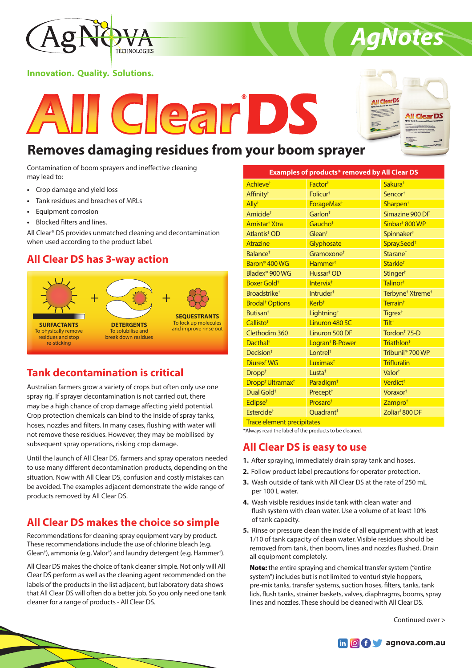

### **Innovation. Quality. Solutions.**





*AgNotes*

# **Removes damaging residues from your boom sprayer**

Contamination of boom sprayers and ineffective cleaning may lead to:

- **•** Crop damage and yield loss
- **•** Tank residues and breaches of MRLs
- **•** Equipment corrosion
- **•** Blocked filters and lines.

All Clear® DS provides unmatched cleaning and decontamination when used according to the product label.

### **All Clear DS has 3-way action**



# **Tank decontamination is critical**

Australian farmers grow a variety of crops but often only use one spray rig. If sprayer decontamination is not carried out, there may be a high chance of crop damage affecting yield potential. Crop protection chemicals can bind to the inside of spray tanks, hoses, nozzles and filters. In many cases, flushing with water will not remove these residues. However, they may be mobilised by subsequent spray operations, risking crop damage.

Until the launch of All Clear DS, farmers and spray operators needed to use many different decontamination products, depending on the situation. Now with All Clear DS, confusion and costly mistakes can be avoided. The examples adjacent demonstrate the wide range of products removed by All Clear DS.

# **All Clear DS makes the choice so simple**

Recommendations for cleaning spray equipment vary by product. These recommendations include the use of chlorine bleach (e.g. Glean<sup>†</sup>), ammonia (e.g. Valor<sup>†</sup>) and laundry detergent (e.g. Hammer<sup>†</sup>).

All Clear DS makes the choice of tank cleaner simple. Not only will All Clear DS perform as well as the cleaning agent recommended on the labels of the products in the list adjacent, but laboratory data shows that All Clear DS will often do a better job. So you only need one tank cleaner for a range of products - All Clear DS.

| <b>Examples of products* removed by All Clear DS</b> |                             |                                          |
|------------------------------------------------------|-----------------------------|------------------------------------------|
| Achieve <sup>t</sup>                                 | Factor <sup>+</sup>         | Sakura <sup>+</sup>                      |
| Affinity <sup>†</sup>                                | Folicur <sup>+</sup>        | Sencor <sup>+</sup>                      |
| $\mathsf{Ally}^{\dagger}$                            | ForageMax <sup>+</sup>      | Sharpen <sup>+</sup>                     |
| Amicide <sup>+</sup>                                 | Garlon <sup>+</sup>         | Simazine 900 DF                          |
| Amistar <sup>†</sup> Xtra                            | Gaucho <sup>+</sup>         | Sinbar <sup>†</sup> 800 WP               |
| Atlantis <sup>†</sup> OD                             | Glean <sup>†</sup>          | Spinnaker <sup>+</sup>                   |
| <b>Atrazine</b>                                      | Glyphosate                  | Spray.Seed <sup>+</sup>                  |
| Balance <sup>+</sup>                                 | Gramoxone <sup>+</sup>      | Starane <sup>+</sup>                     |
| Baron <sup>®</sup> 400 WG                            | Hammer <sup>+</sup>         | Starkle <sup>+</sup>                     |
| Bladex <sup>®</sup> 900 WG                           | Hussar <sup>†</sup> OD      | Stinger <sup>+</sup>                     |
| Boxer Gold <sup>+</sup>                              | Intervix <sup>t</sup>       | Talinor <sup>+</sup>                     |
| Broadstrike <sup>+</sup>                             | Intruder <sup>+</sup>       | Terbyne <sup>†</sup> Xtreme <sup>†</sup> |
| <b>Brodal<sup>†</sup> Options</b>                    | Kerb <sup>+</sup>           | Terrain <sup>+</sup>                     |
| <b>Butisan<sup>t</sup></b>                           | Lightning <sup>+</sup>      | Tigrex <sup>+</sup>                      |
| Callisto <sup>+</sup>                                | Linuron 480 SC              | Tiltt                                    |
| Clethodim 360                                        | Linuron 500 DF              | Tordon <sup>+</sup> 75-D                 |
| Dacthal <sup>+</sup>                                 | Logran <sup>†</sup> B-Power | Triathlon <sup>+</sup>                   |
| Decision <sup>+</sup>                                | Lontrel <sup>+</sup>        | Tribunil <sup>®</sup> 700 WP             |
| Diurex <sup>†</sup> WG                               | Luximax <sup>+</sup>        | <b>Trifluralin</b>                       |
| Drop <sup>†</sup>                                    | Lusta <sup>+</sup>          | Valor <sup>+</sup>                       |
| Dropp <sup>†</sup> Ultramax <sup>†</sup>             | Paradigm <sup>+</sup>       | Verdict <sup>+</sup>                     |
| Dual Gold <sup>+</sup>                               | Precept <sup>+</sup>        | Voraxor <sup>+</sup>                     |
| Eclipse <sup>+</sup>                                 | Prosaro <sup>+</sup>        | Zampro <sup>+</sup>                      |
| Estercide <sup>+</sup>                               | Ouadrant <sup>+</sup>       | Zoliar <sup>†</sup> 800 DF               |

Trace element precipitates

\*Always read the label of the products to be cleaned.

### **All Clear DS is easy to use**

- **1.** After spraying, immediately drain spray tank and hoses.
- **2.** Follow product label precautions for operator protection.
- **3.** Wash outside of tank with All Clear DS at the rate of 250 mL per 100 L water.
- **4.** Wash visible residues inside tank with clean water and flush system with clean water. Use a volume of at least 10% of tank capacity.
- **5.** Rinse or pressure clean the inside of all equipment with at least 1/10 of tank capacity of clean water. Visible residues should be removed from tank, then boom, lines and nozzles flushed. Drain all equipment completely.

Note: the entire spraying and chemical transfer system ("entire system") includes but is not limited to venturi style hoppers, pre-mix tanks, transfer systems, suction hoses, filters, tanks, tank lids, flush tanks, strainer baskets, valves, diaphragms, booms, spray lines and nozzles. These should be cleaned with All Clear DS.

Continued over >